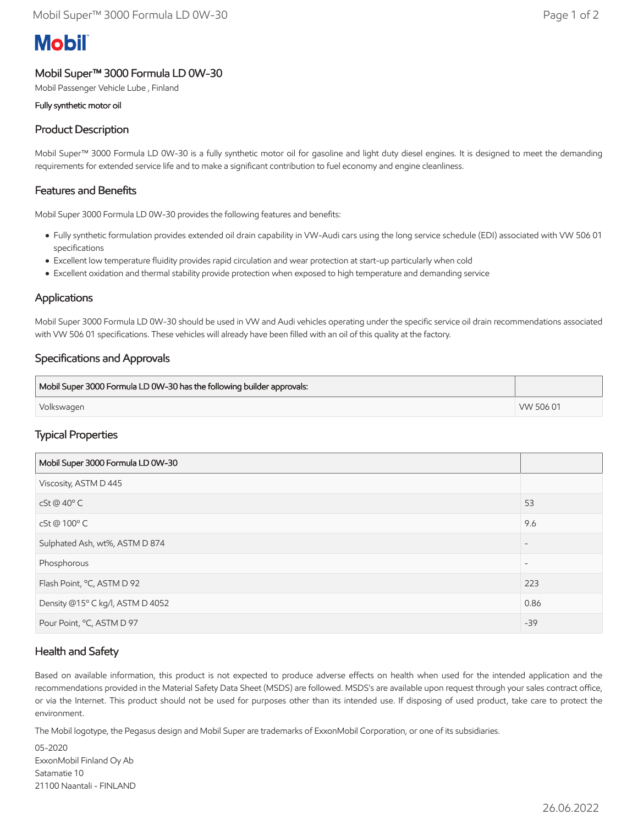# **Mobil**

## Mobil Super™ 3000 Formula LD 0W-30

Mobil Passenger Vehicle Lube , Finland

#### Fully synthetic motor oil

## Product Description

Mobil Super™ 3000 Formula LD 0W-30 is a fully synthetic motor oil for gasoline and light duty diesel engines. It is designed to meet the demanding requirements for extended service life and to make a significant contribution to fuel economy and engine cleanliness.

#### Features and Benefits

Mobil Super 3000 Formula LD 0W-30 provides the following features and benefits:

- Fully synthetic formulation provides extended oil drain capability in VW-Audi cars using the long service schedule (EDI) associated with VW 506 01 specifications
- Excellent low temperature fluidity provides rapid circulation and wear protection at start-up particularly when cold
- Excellent oxidation and thermal stability provide protection when exposed to high temperature and demanding service

#### Applications

Mobil Super 3000 Formula LD 0W-30 should be used in VW and Audi vehicles operating under the specific service oil drain recommendations associated with VW 506 01 specifications. These vehicles will already have been filled with an oil of this quality at the factory.

### Specifications and Approvals

| Mobil Super 3000 Formula LD 0W-30 has the following builder approvals: |           |
|------------------------------------------------------------------------|-----------|
| Volkswagen                                                             | VW 506 01 |

### Typical Properties

| Mobil Super 3000 Formula LD 0W-30 |                          |
|-----------------------------------|--------------------------|
| Viscosity, ASTM D 445             |                          |
| $cSt@40^{\circ}$ C                | 53                       |
| cSt @ 100°C                       | 9.6                      |
| Sulphated Ash, wt%, ASTM D 874    | $\overline{\phantom{a}}$ |
| Phosphorous                       | $\overline{\phantom{a}}$ |
| Flash Point, °C, ASTM D 92        | 223                      |
| Density @15° C kg/l, ASTM D 4052  | 0.86                     |
| Pour Point, °C, ASTM D 97         | $-39$                    |

### Health and Safety

Based on available information, this product is not expected to produce adverse effects on health when used for the intended application and the recommendations provided in the Material Safety Data Sheet (MSDS) are followed. MSDS's are available upon request through your sales contract office, or via the Internet. This product should not be used for purposes other than its intended use. If disposing of used product, take care to protect the environment.

The Mobil logotype, the Pegasus design and Mobil Super are trademarks of ExxonMobil Corporation, or one of its subsidiaries.

05-2020 ExxonMobil Finland Oy Ab Satamatie 10 21100 Naantali - FINLAND